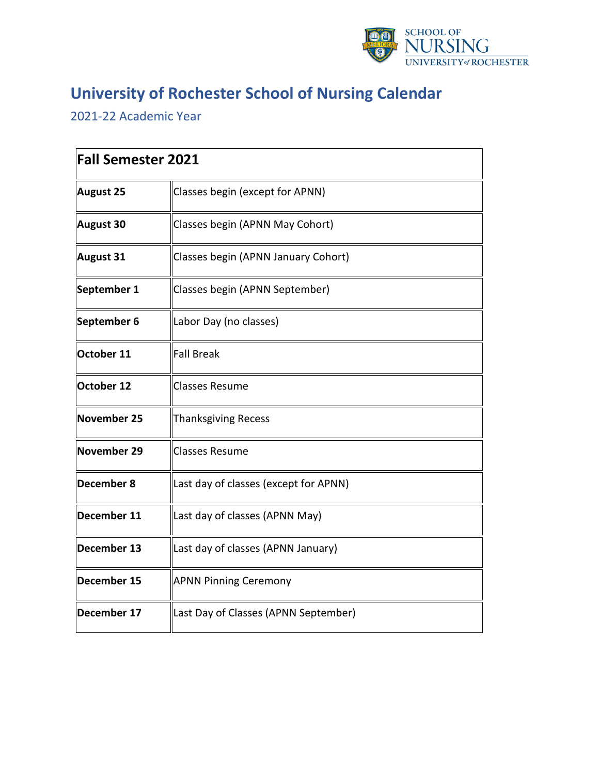

## **University of Rochester School of Nursing Calendar**

2021-22 Academic Year

| <b>Fall Semester 2021</b> |                                       |
|---------------------------|---------------------------------------|
| <b>August 25</b>          | Classes begin (except for APNN)       |
| <b>August 30</b>          | Classes begin (APNN May Cohort)       |
| <b>August 31</b>          | Classes begin (APNN January Cohort)   |
| September 1               | Classes begin (APNN September)        |
| September 6               | Labor Day (no classes)                |
| October 11                | <b>Fall Break</b>                     |
| October 12                | <b>Classes Resume</b>                 |
| <b>November 25</b>        | <b>Thanksgiving Recess</b>            |
| November 29               | <b>Classes Resume</b>                 |
| December 8                | Last day of classes (except for APNN) |
| December 11               | Last day of classes (APNN May)        |
| December 13               | Last day of classes (APNN January)    |
| December 15               | <b>APNN Pinning Ceremony</b>          |
| December 17               | Last Day of Classes (APNN September)  |